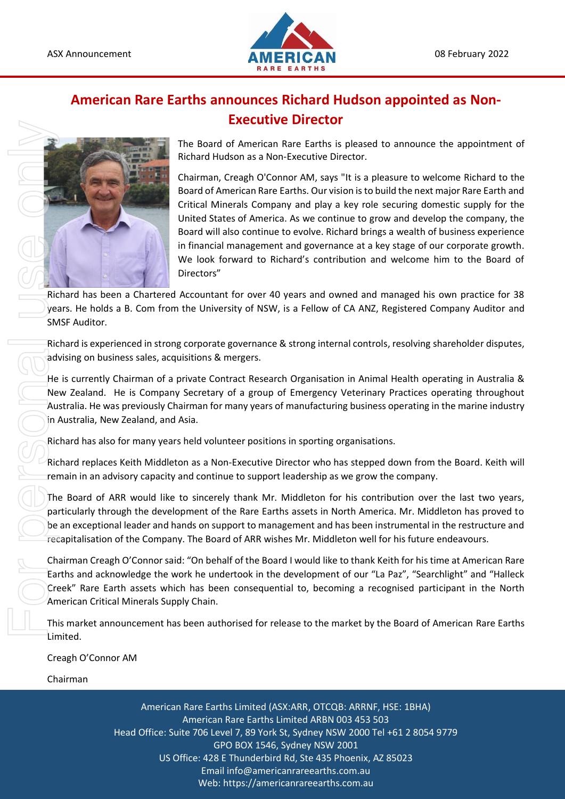

## **American Rare Earths announces Richard Hudson appointed as Non-Executive Director**



The Board of American Rare Earths is pleased to announce the appointment of Richard Hudson as a Non-Executive Director.

Chairman, Creagh O'Connor AM, says "It is a pleasure to welcome Richard to the Board of American Rare Earths. Our vision is to build the next major Rare Earth and Critical Minerals Company and play a key role securing domestic supply for the United States of America. As we continue to grow and develop the company, the Board will also continue to evolve. Richard brings a wealth of business experience in financial management and governance at a key stage of our corporate growth. We look forward to Richard's contribution and welcome him to the Board of Directors"

Richard has been a Chartered Accountant for over 40 years and owned and managed his own practice for 38 years. He holds a B. Com from the University of NSW, is a Fellow of CA ANZ, Registered Company Auditor and SMSF Auditor.

Richard is experienced in strong corporate governance & strong internal controls, resolving shareholder disputes, advising on business sales, acquisitions & mergers.

He is currently Chairman of a private Contract Research Organisation in Animal Health operating in Australia & New Zealand. He is Company Secretary of a group of Emergency Veterinary Practices operating throughout Australia. He was previously Chairman for many years of manufacturing business operating in the marine industry in Australia, New Zealand, and Asia.

Richard has also for many years held volunteer positions in sporting organisations.

Richard replaces Keith Middleton as a Non-Executive Director who has stepped down from the Board. Keith will remain in an advisory capacity and continue to support leadership as we grow the company.

The Board of ARR would like to sincerely thank Mr. Middleton for his contribution over the last two years, particularly through the development of the Rare Earths assets in North America. Mr. Middleton has proved to be an exceptional leader and hands on support to management and has been instrumental in the restructure and recapitalisation of the Company. The Board of ARR wishes Mr. Middleton well for his future endeavours.

Chairman Creagh O'Connor said: "On behalf of the Board I would like to thank Keith for his time at American Rare Earths and acknowledge the work he undertook in the development of our "La Paz", "Searchlight" and "Halleck Creek" Rare Earth assets which has been consequential to, becoming a recognised participant in the North American Critical Minerals Supply Chain.

This market announcement has been authorised for release to the market by the Board of American Rare Earths Limited.

Creagh O'Connor AM

Chairman

American Rare Earths Limited (ASX:ARR, OTCQB: ARRNF, HSE: 1BHA) American Rare Earths Limited ARBN 003 453 503 Head Office: Suite 706 Level 7, 89 York St, Sydney NSW 2000 Tel +61 2 8054 9779 GPO BOX 1546, Sydney NSW 2001 US Office: 428 E Thunderbird Rd, Ste 435 Phoenix, AZ 85023 Email info@americanrareearths.com.au Web: https://americanrareearths.com.au